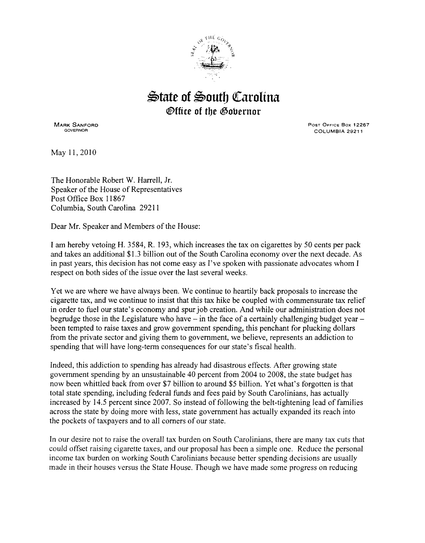

## $\triangle$ tate of South Carolina *<b>@ffice of the Gobernor*

MARK SANFORD GOVERNOR

POST OFFICE Box 12267 COLUMBIA 29211

May 11,2010

The Honorable Robert W. Harrell, Jr. Speaker of the House of Representatives Post Office Box 11867 Columbia, South Carolina 29211

Dear Mr. Speaker and Members of the House:

I am hereby vetoing H. 3 584, R. 193, which increases the tax on cigarettes by 50 cents per pack and takes an additional \$1.3 billion out of the South Carolina economy over the next decade. As in past years, this decision has not come easy as I've spoken with passionate advocates whom I respect on both sides of the issue over the last several weeks.

Yet we are where we have always been. We continue to heartily back proposals to increase the cigarette tax, and we continue to insist that this tax hike be coupled with commensurate tax relief in order to fuel our state's economy and spur job creation. And while our administration does not begrudge those in the Legislature who have  $-$  in the face of a certainly challenging budget year  $$ been tempted to raise taxes and grow government spending, this penchant for plucking dollars from the private sector and giving them to government, we believe, represents an addiction to spending that will have long-term consequences for our state's fiscal health.

Indeed, this addiction to spending has already had disastrous effects. After growing state government spending by an unsustainable 40 percent from 2004 to 2008, the state budget has now been whittled back from over \$7 billion to around \$5 billion. Yet what's forgotten is that total state spending, including federal funds and fees paid by South Carolinians, has actually increased by 14.5 percent since 2007. So instead of following the belt-tightening lead of families across the state by doing more with less, state government has actually expanded its reach into the pockets of taxpayers and to all comers of our state.

In our desire not to raise the overall tax burden on South Carolinians, there are many tax cuts that could offset raising cigarette taxes, and our proposal has been a simple one. Reduce the personal income tax burden on working South Carolinians because better spending decisions are usually made in their houses versus the State House. Though we have made some progress on reducing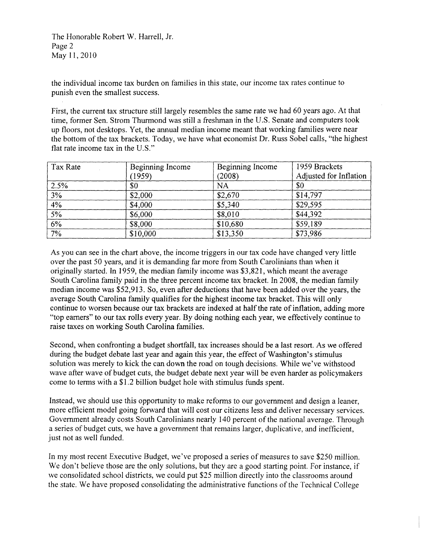The Honorable Robert W. Harrell, Jr. Page 2 May 11,2010

the individual income tax burden on families in this state, our income tax rates continue to punish even the smallest success.

First, the current tax structure still largely resembles the same rate we had 60 years ago. At that time, former Sen. Strom Thurmond was still a freshman in the U.S. Senate and computers took up floors, not desktops. Yet, the annual median income meant that working families were near the bottom of the tax brackets. Today, we have what economist Dr. Russ Sobel calls, "the highest flat rate income tax in the U.S."

| Tax Rate      | Beginning Income | Beginning Income | 1959 Brackets          |
|---------------|------------------|------------------|------------------------|
|               | (1959)           | (2008)           | Adjusted for Inflation |
| 2.5%          | \$0              | <b>NA</b>        | \$0                    |
| 3%            | \$2,000          | \$2,670          | \$14,797               |
| 4%            | \$4,000          | \$5,340          | \$29,595               |
| 5%            | \$6,000          | \$8,010          | \$44,392               |
| $\frac{6}{6}$ | \$8,000          | \$10,680         | \$59,189               |
| $7\%$         | \$10,000         | \$13,350         | \$73,986               |

As you can see in the chart above, the income triggers in our tax code have changed very little over the past 50 years, and it is demanding far more from South Carolinians than when it originally started. In 1959, the median family income was \$3,821, which meant the average South Carolina family paid in the three percent income tax bracket. In 2008, the median family median income was \$52,913. So, even after deductions that have been added over the years, the average South Carolina family qualifies for the highest income tax bracket. This will only continue to worsen because our tax brackets are indexed at half the rate of inflation, adding more "top earners" to our tax rolls every year. By doing nothing each year, we effectively continue to raise taxes on working South Carolina families.

Second, when confronting a budget shortfall, tax increases should be a last resort. As we offered during the budget debate last year and again this year, the effect of Washington's stimulus solution was merely to kick the can down the road on tough decisions. While we've withstood wave after wave of budget cuts, the budget debate next year will be even harder as policymakers come to terms with a \$1.2 billion budget hole with stimulus funds spent.

Instead, we should use this opportunity to make reforms to our government and design a leaner, more efficient model going forward that will cost our citizens less and deliver necessary services. Government already costs South Carolinians nearly 140 percent of the national average. Through a series of budget cuts, we have a government that remains larger, duplicative, and inefficient, just not as well funded.

In my most recent Executive Budget, we've proposed a series of measures to save \$250 million. We don't believe those are the only solutions, but they are a good starting point. For instance, if we consolidated school districts, we could put \$25 million directly into the classrooms around the state. We have proposed consolidating the administrative functions of the Technical College